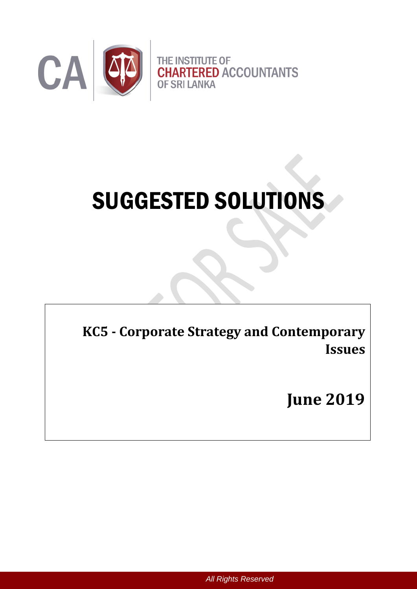

# SUGGESTED SOLUTIONS

**KC5 - Corporate Strategy and Contemporary Issues** 

**June 2019**

*All Rights Reserved*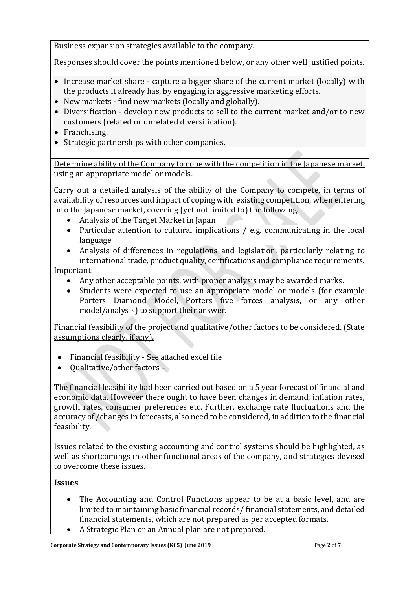Business expansion strategies available to the company.

Responses should cover the points mentioned below, or any other well justified points.

- Increase market share capture a bigger share of the current market (locally) with the products it already has, by [engaging in aggressive marketing efforts.](https://www.bdc.ca/en/consulting/pages/integrated-sales-marketing.aspx)
- New markets [find new markets](https://www.bdc.ca/en/articles-tools/marketing-sales-export/marketing/pages/entering-new-market-tips-gray-tools.aspx) (locally and globally).
- Diversification develop new products to sell to the current market and/or to new customers (related or unrelated diversification).
- Franchising.
- Strategic partnerships [with other companies.](https://www.bdc.ca/en/articles-tools/business-strategy-planning/manage-growth/pages/setting-up-strategic-business-alliances.aspx)

Determine ability of the Company to cope with the competition in the Japanese market, using an appropriate model or models.

Carry out a detailed analysis of the ability of the Company to compete, in terms of availability of resources and impact of coping with existing competition, when entering into the Japanese market, covering (yet not limited to) the following.

- Analysis of the Target Market in Japan
- Particular attention to cultural implications / e.g. communicating in the local language
- Analysis of differences in regulations and legislation, particularly relating to international trade, product quality, certifications and compliance requirements.

Important:

- Any other acceptable points, with proper analysis may be awarded marks.
- Students were expected to use an appropriate model or models (for example Porters Diamond Model, Porters five forces analysis, or any other model/analysis) to support their answer.

Financial feasibility of the project and qualitative/other factors to be considered. (State assumptions clearly, if any).

- Financial feasibility See attached excel file
- $\bullet$  Qualitative/other factors –

The financial feasibility had been carried out based on a 5 year forecast of financial and economic data. However there ought to have been changes in demand, inflation rates, growth rates, consumer preferences etc. Further, exchange rate fluctuations and the accuracy of /changes in forecasts, also need to be considered, in addition to the financial feasibility.

Issues related to the existing accounting and control systems should be highlighted, as well as shortcomings in other functional areas of the company, and strategies devised to overcome these issues.

# **Issues**

- The Accounting and Control Functions appear to be at a basic level, and are limited to maintaining basic financial records/ financial statements, and detailed financial statements, which are not prepared as per accepted formats.
- A Strategic Plan or an Annual plan are not prepared.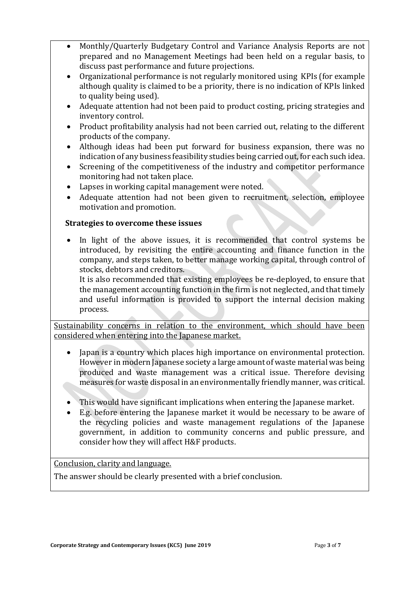- Monthly/Quarterly Budgetary Control and Variance Analysis Reports are not prepared and no Management Meetings had been held on a regular basis, to discuss past performance and future projections.
- Organizational performance is not regularly monitored using KPIs (for example although quality is claimed to be a priority, there is no indication of KPIs linked to quality being used).
- Adequate attention had not been paid to product costing, pricing strategies and inventory control.
- Product profitability analysis had not been carried out, relating to the different products of the company.
- Although ideas had been put forward for business expansion, there was no indication of any business feasibility studies being carried out, for each such idea.
- Screening of the competitiveness of the industry and competitor performance monitoring had not taken place.
- Lapses in working capital management were noted.
- Adequate attention had not been given to recruitment, selection, employee motivation and promotion.

#### **Strategies to overcome these issues**

 In light of the above issues, it is recommended that control systems be introduced, by revisiting the entire accounting and finance function in the company, and steps taken, to better manage working capital, through control of stocks, debtors and creditors.

It is also recommended that existing employees be re-deployed, to ensure that the management accounting function in the firm is not neglected, and that timely and useful information is provided to support the internal decision making process.

Sustainability concerns in relation to the environment, which should have been considered when entering into the Japanese market.

- Japan is a country which places high importance on environmental protection. However in modern Japanese society a large amount of waste material was being produced and waste management was a critical issue. Therefore devising measures for waste disposal in an environmentally friendly manner, was critical.
- This would have significant implications when entering the Japanese market.
- E.g. before entering the Japanese market it would be necessary to be aware of the recycling policies and waste management regulations of the Japanese government, in addition to community concerns and public pressure, and consider how they will affect H&F products.

#### Conclusion, clarity and language.

The answer should be clearly presented with a brief conclusion.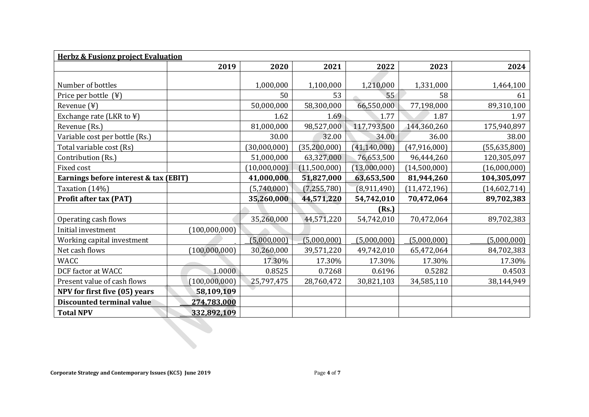| <b>Herbz &amp; Fusionz project Evaluation</b> |                 |              |               |                |                |                |
|-----------------------------------------------|-----------------|--------------|---------------|----------------|----------------|----------------|
|                                               | 2019            | 2020         | 2021          | 2022           | 2023           | 2024           |
|                                               |                 |              |               |                |                |                |
| Number of bottles                             |                 | 1,000,000    | 1,100,000     | 1,210,000      | 1,331,000      | 1,464,100      |
| Price per bottle (¥)                          |                 | 50           | 53            | 55             | 58             | 61             |
| Revenue (¥)                                   |                 | 50,000,000   | 58,300,000    | 66,550,000     | 77,198,000     | 89,310,100     |
| Exchange rate (LKR to ¥)                      |                 | 1.62         | 1.69          | 1.77           | 1.87           | 1.97           |
| Revenue (Rs.)                                 |                 | 81,000,000   | 98,527,000    | 117,793,500    | 144,360,260    | 175,940,897    |
| Variable cost per bottle (Rs.)                |                 | 30.00        | 32.00         | 34.00          | 36.00          | 38.00          |
| Total variable cost (Rs)                      |                 | (30,000,000) | (35,200,000)  | (41, 140, 000) | (47, 916, 000) | (55, 635, 800) |
| Contribution (Rs.)                            |                 | 51,000,000   | 63,327,000    | 76,653,500     | 96,444,260     | 120,305,097    |
| Fixed cost                                    |                 | (10,000,000) | (11,500,000)  | (13,000,000)   | (14,500,000)   | (16,000,000)   |
| Earnings before interest & tax (EBIT)         |                 | 41,000,000   | 51,827,000    | 63,653,500     | 81,944,260     | 104,305,097    |
| Taxation (14%)                                |                 | (5,740,000)  | (7, 255, 780) | (8,911,490)    | (11, 472, 196) | (14,602,714)   |
| <b>Profit after tax (PAT)</b>                 |                 | 35,260,000   | 44,571,220    | 54,742,010     | 70,472,064     | 89,702,383     |
|                                               |                 |              |               | (Rs.)          |                |                |
| Operating cash flows                          |                 | 35,260,000   | 44,571,220    | 54,742,010     | 70,472,064     | 89,702,383     |
| Initial investment                            | (100,000,000)   |              |               |                |                |                |
| Working capital investment                    |                 | (5,000,000)  | (5,000,000)   | (5,000,000)    | (5,000,000)    | (5,000,000)    |
| Net cash flows                                | (100, 000, 000) | 30,260,000   | 39,571,220    | 49,742,010     | 65,472,064     | 84,702,383     |
| <b>WACC</b>                                   |                 | 17.30%       | 17.30%        | 17.30%         | 17.30%         | 17.30%         |
| DCF factor at WACC                            | 1.0000          | 0.8525       | 0.7268        | 0.6196         | 0.5282         | 0.4503         |
| Present value of cash flows                   | (100,000,000)   | 25,797,475   | 28,760,472    | 30,821,103     | 34,585,110     | 38,144,949     |
| NPV for first five (05) years                 | 58,109,109      |              |               |                |                |                |
| Discounted terminal value                     | 274,783,000     |              |               |                |                |                |
| <b>Total NPV</b>                              | 332,892,109     |              |               |                |                |                |
|                                               |                 |              |               |                |                |                |
|                                               |                 |              |               |                |                |                |
|                                               |                 |              |               |                |                |                |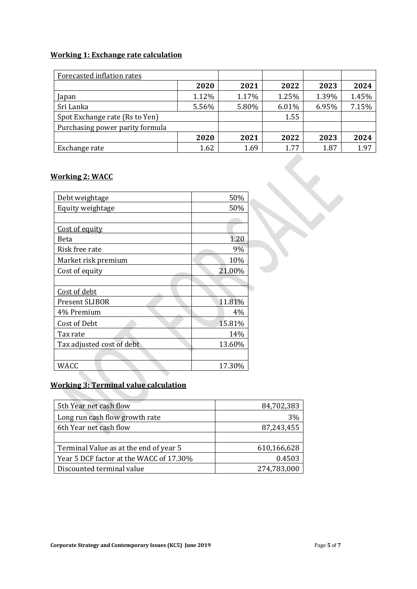### **Working 1: Exchange rate calculation**

| Forecasted inflation rates      |       |       |       |       |       |
|---------------------------------|-------|-------|-------|-------|-------|
|                                 | 2020  | 2021  | 2022  | 2023  | 2024  |
| Japan                           | 1.12% | 1.17% | 1.25% | 1.39% | 1.45% |
| Sri Lanka                       | 5.56% | 5.80% | 6.01% | 6.95% | 7.15% |
| Spot Exchange rate (Rs to Yen)  |       |       | 1.55  |       |       |
| Purchasing power parity formula |       |       |       |       |       |
|                                 | 2020  | 2021  | 2022  | 2023  | 2024  |
| Exchange rate                   | 1.62  | 1.69  | 1.77  | 1.87  | 1.97  |

#### **Working 2: WACC**

| Debt weightage            | 50%    |
|---------------------------|--------|
| Equity weightage          | 50%    |
|                           |        |
| Cost of equity            |        |
| Beta                      | 1.20   |
| Risk free rate            | 9%     |
| Market risk premium       | 10%    |
| Cost of equity            | 21.00% |
|                           |        |
| Cost of debt              |        |
| <b>Present SLIBOR</b>     | 11.81% |
| 4% Premium                | 4%     |
| Cost of Debt              | 15.81% |
| Tax rate                  | 14%    |
| Tax adjusted cost of debt | 13.60% |
|                           |        |
| <b>WACC</b>               | 17.30% |

### **Working 3: Terminal value calculation**

| 5th Year net cash flow                  | 84,702,383  |  |  |
|-----------------------------------------|-------------|--|--|
| Long run cash flow growth rate          | 3%          |  |  |
| 6th Year net cash flow                  | 87,243,455  |  |  |
|                                         |             |  |  |
| Terminal Value as at the end of year 5  | 610,166,628 |  |  |
| Year 5 DCF factor at the WACC of 17.30% | 0.4503      |  |  |
| Discounted terminal value               | 274,783,000 |  |  |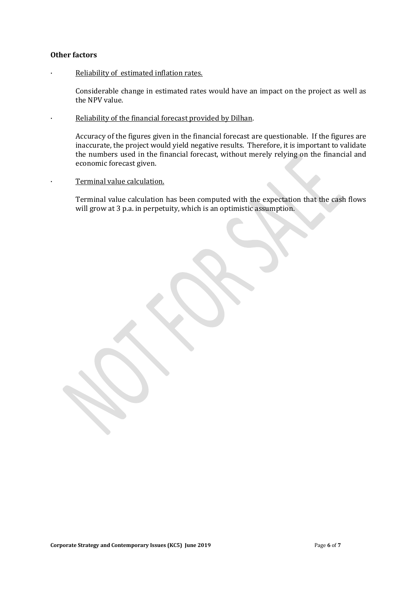#### **Other factors**

Reliability of estimated inflation rates.

Considerable change in estimated rates would have an impact on the project as well as the NPV value.

Reliability of the financial forecast provided by Dilhan.

Accuracy of the figures given in the financial forecast are questionable. If the figures are inaccurate, the project would yield negative results. Therefore, it is important to validate the numbers used in the financial forecast, without merely relying on the financial and economic forecast given.

Terminal value calculation.

Terminal value calculation has been computed with the expectation that the cash flows will grow at 3 p.a. in perpetuity, which is an optimistic assumption.